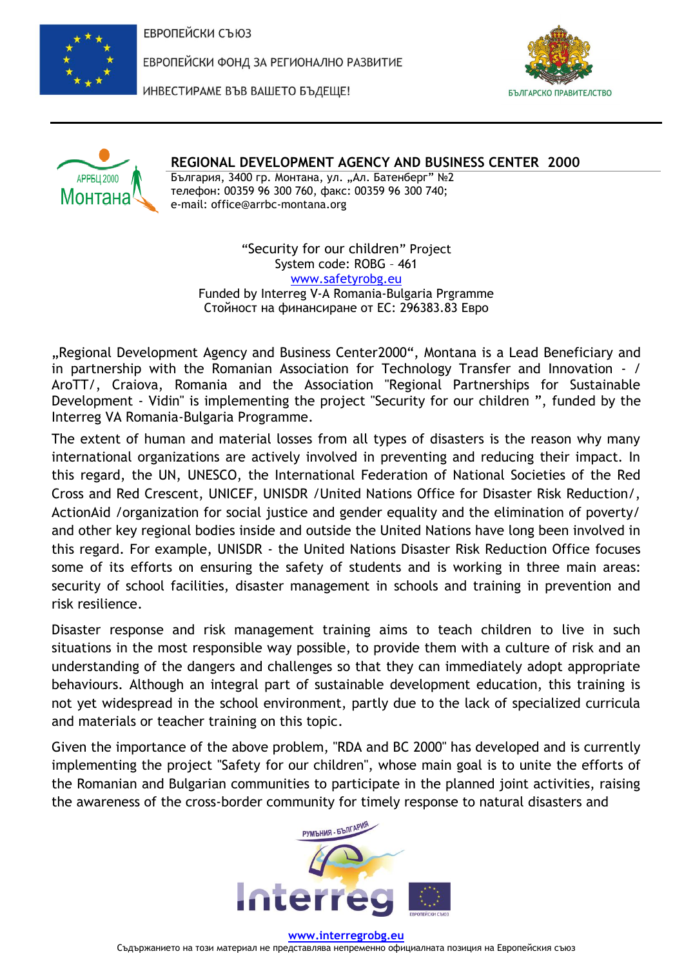

ЕВРОПЕЙСКИ ФОНД ЗА РЕГИОНАЛНО РАЗВИТИЕ



ИНВЕСТИРАМЕ ВЪВ ВАШЕТО БЪДЕЩЕ!



## **REGIONAL DEVELOPMENT AGENCY AND BUSINESS CENTER 2000**

България, 3400 гр. Монтана, ул. "Ал. Батенберг" №2 телефон: 00359 96 300 760, факс: 00359 96 300 740; e-mail: office@arrbc-montana.org

"Security for our children" Project System code: ROBG – 461 [www.safetyrobg.eu](http://www.safetyrobg.eu/) Funded by Interreg V-A Romania-Bulgaria Prgramme Стойност на финансиране от ЕС: 296383.83 Евро

"Regional Development Agency and Business Center2000", Montana is a Lead Beneficiary and in partnership with the Romanian Association for Technology Transfer and Innovation - / AroTT/, Craiova, Romania and the Association "Regional Partnerships for Sustainable Development - Vidin" is implementing the project "Security for our children ", funded by the Interreg VA Romania-Bulgaria Programme.

The extent of human and material losses from all types of disasters is the reason why many international organizations are actively involved in preventing and reducing their impact. In this regard, the UN, UNESCO, the International Federation of National Societies of the Red Cross and Red Crescent, UNICEF, UNISDR /United Nations Office for Disaster Risk Reduction/, ActionAid /organization for social justice and gender equality and the elimination of poverty/ and other key regional bodies inside and outside the United Nations have long been involved in this regard. For example, UNISDR - the United Nations Disaster Risk Reduction Office focuses some of its efforts on ensuring the safety of students and is working in three main areas: security of school facilities, disaster management in schools and training in prevention and risk resilience.

Disaster response and risk management training aims to teach children to live in such situations in the most responsible way possible, to provide them with a culture of risk and an understanding of the dangers and challenges so that they can immediately adopt appropriate behaviours. Although an integral part of sustainable development education, this training is not yet widespread in the school environment, partly due to the lack of specialized curricula and materials or teacher training on this topic.

Given the importance of the above problem, "RDA and BC 2000" has developed and is currently implementing the project "Safety for our children", whose main goal is to unite the efforts of the Romanian and Bulgarian communities to participate in the planned joint activities, raising the awareness of the cross-border community for timely response to natural disasters and

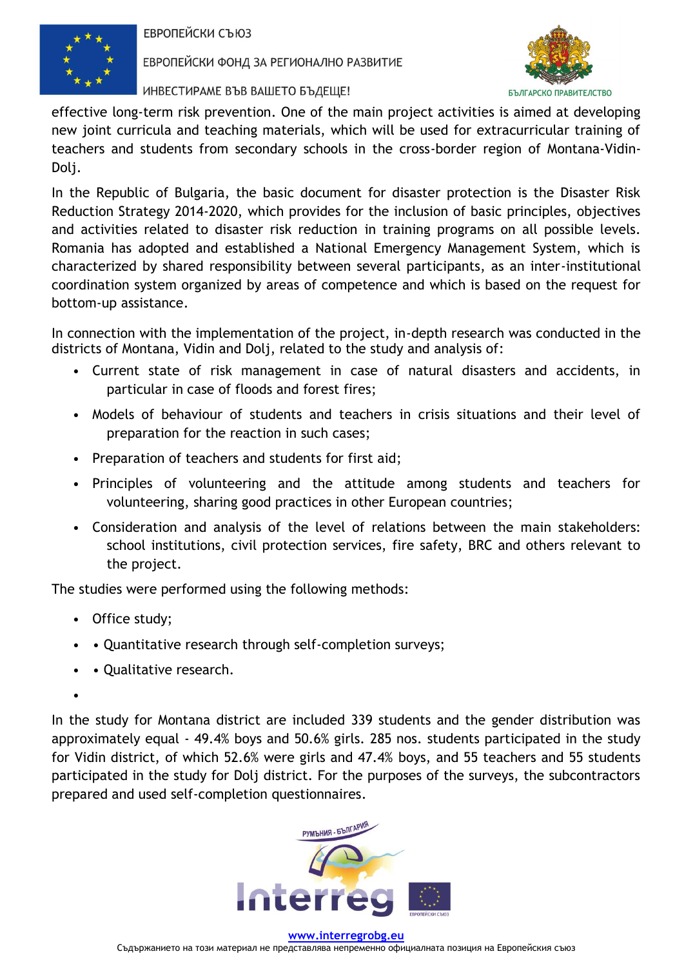

ЕВРОПЕЙСКИ ФОНД ЗА РЕГИОНАЛНО РАЗВИТИЕ

ИНВЕСТИРАМЕ ВЪВ ВАШЕТО БЪДЕЩЕ!



effective long-term risk prevention. One of the main project activities is aimed at developing new joint curricula and teaching materials, which will be used for extracurricular training of teachers and students from secondary schools in the cross-border region of Montana-Vidin-Dolj.

In the Republic of Bulgaria, the basic document for disaster protection is the Disaster Risk Reduction Strategy 2014-2020, which provides for the inclusion of basic principles, objectives and activities related to disaster risk reduction in training programs on all possible levels. Romania has adopted and established a National Emergency Management System, which is characterized by shared responsibility between several participants, as an inter-institutional coordination system organized by areas of competence and which is based on the request for bottom-up assistance.

In connection with the implementation of the project, in-depth research was conducted in the districts of Montana, Vidin and Dolj, related to the study and analysis of:

- Current state of risk management in case of natural disasters and accidents, in particular in case of floods and forest fires;
- Models of behaviour of students and teachers in crisis situations and their level of preparation for the reaction in such cases;
- Preparation of teachers and students for first aid;
- Principles of volunteering and the attitude among students and teachers for volunteering, sharing good practices in other European countries;
- Consideration and analysis of the level of relations between the main stakeholders: school institutions, civil protection services, fire safety, BRC and others relevant to the project.

The studies were performed using the following methods:

- Office study;
- • Quantitative research through self-completion surveys;
- • Qualitative research.
- •

In the study for Montana district are included 339 students and the gender distribution was approximately equal - 49.4% boys and 50.6% girls. 285 nos. students participated in the study for Vidin district, of which 52.6% were girls and 47.4% boys, and 55 teachers and 55 students participated in the study for Dolj district. For the purposes of the surveys, the subcontractors prepared and used self-completion questionnaires.

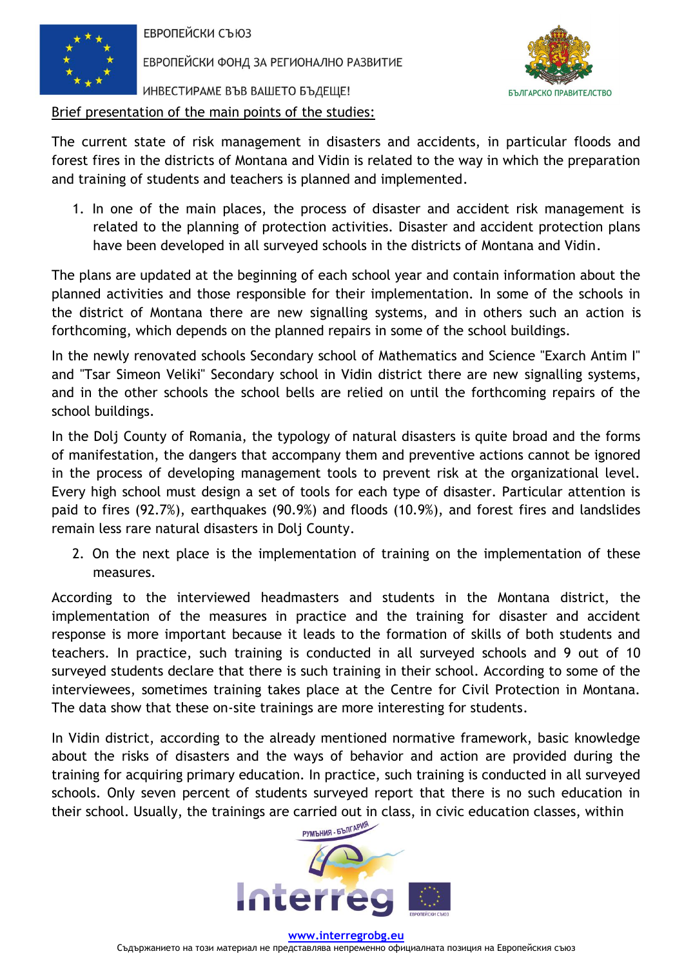

ЕВРОПЕЙСКИ ФОНД ЗА РЕГИОНАЛНО РАЗВИТИЕ

ИНВЕСТИРАМЕ ВЪВ ВАШЕТО БЪДЕЩЕ!





The current state of risk management in disasters and accidents, in particular floods and forest fires in the districts of Montana and Vidin is related to the way in which the preparation and training of students and teachers is planned and implemented.

1. In one of the main places, the process of disaster and accident risk management is related to the planning of protection activities. Disaster and accident protection plans have been developed in all surveyed schools in the districts of Montana and Vidin.

The plans are updated at the beginning of each school year and contain information about the planned activities and those responsible for their implementation. In some of the schools in the district of Montana there are new signalling systems, and in others such an action is forthcoming, which depends on the planned repairs in some of the school buildings.

In the newly renovated schools Secondary school of Mathematics and Science "Exarch Antim I" and "Tsar Simeon Veliki" Secondary school in Vidin district there are new signalling systems, and in the other schools the school bells are relied on until the forthcoming repairs of the school buildings.

In the Dolj County of Romania, the typology of natural disasters is quite broad and the forms of manifestation, the dangers that accompany them and preventive actions cannot be ignored in the process of developing management tools to prevent risk at the organizational level. Every high school must design a set of tools for each type of disaster. Particular attention is paid to fires (92.7%), earthquakes (90.9%) and floods (10.9%), and forest fires and landslides remain less rare natural disasters in Dolj County.

2. On the next place is the implementation of training on the implementation of these measures.

According to the interviewed headmasters and students in the Montana district, the implementation of the measures in practice and the training for disaster and accident response is more important because it leads to the formation of skills of both students and teachers. In practice, such training is conducted in all surveyed schools and 9 out of 10 surveyed students declare that there is such training in their school. According to some of the interviewees, sometimes training takes place at the Centre for Civil Protection in Montana. The data show that these on-site trainings are more interesting for students.

In Vidin district, according to the already mentioned normative framework, basic knowledge about the risks of disasters and the ways of behavior and action are provided during the training for acquiring primary education. In practice, such training is conducted in all surveyed schools. Only seven percent of students surveyed report that there is no such education in their school. Usually, the trainings are carried out in class, in civic education classes, within

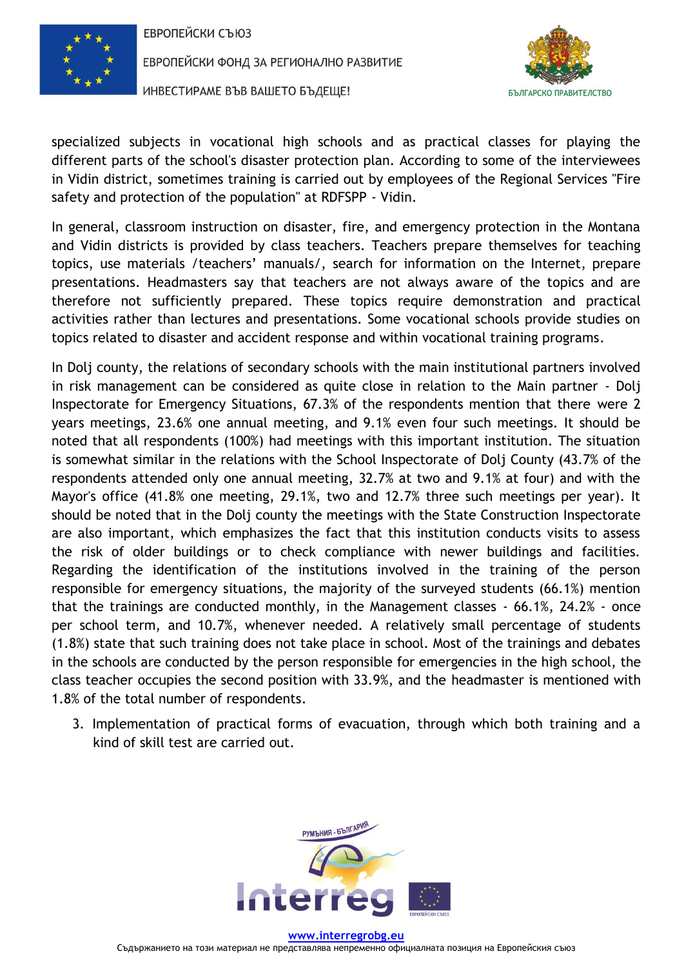

ЕВРОПЕЙСКИ ФОНД ЗА РЕГИОНАЛНО РАЗВИТИЕ

ИНВЕСТИРАМЕ ВЪВ ВАШЕТО БЪДЕЩЕ!



specialized subjects in vocational high schools and as practical classes for playing the different parts of the school's disaster protection plan. According to some of the interviewees in Vidin district, sometimes training is carried out by employees of the Regional Services "Fire safety and protection of the population" at RDFSPP - Vidin.

In general, classroom instruction on disaster, fire, and emergency protection in the Montana and Vidin districts is provided by class teachers. Teachers prepare themselves for teaching topics, use materials /teachers' manuals/, search for information on the Internet, prepare presentations. Headmasters say that teachers are not always aware of the topics and are therefore not sufficiently prepared. These topics require demonstration and practical activities rather than lectures and presentations. Some vocational schools provide studies on topics related to disaster and accident response and within vocational training programs.

In Dolj county, the relations of secondary schools with the main institutional partners involved in risk management can be considered as quite close in relation to the Main partner - Dolj Inspectorate for Emergency Situations, 67.3% of the respondents mention that there were 2 years meetings, 23.6% one annual meeting, and 9.1% even four such meetings. It should be noted that all respondents (100%) had meetings with this important institution. The situation is somewhat similar in the relations with the School Inspectorate of Dolj County (43.7% of the respondents attended only one annual meeting, 32.7% at two and 9.1% at four) and with the Mayor's office (41.8% one meeting, 29.1%, two and 12.7% three such meetings per year). It should be noted that in the Dolj county the meetings with the State Construction Inspectorate are also important, which emphasizes the fact that this institution conducts visits to assess the risk of older buildings or to check compliance with newer buildings and facilities. Regarding the identification of the institutions involved in the training of the person responsible for emergency situations, the majority of the surveyed students (66.1%) mention that the trainings are conducted monthly, in the Management classes - 66.1%, 24.2% - once per school term, and 10.7%, whenever needed. A relatively small percentage of students (1.8%) state that such training does not take place in school. Most of the trainings and debates in the schools are conducted by the person responsible for emergencies in the high school, the class teacher occupies the second position with 33.9%, and the headmaster is mentioned with 1.8% of the total number of respondents.

3. Implementation of practical forms of evacuation, through which both training and a kind of skill test are carried out.



**[www.interregrobg.eu](http://www.interregrobg.eu/)**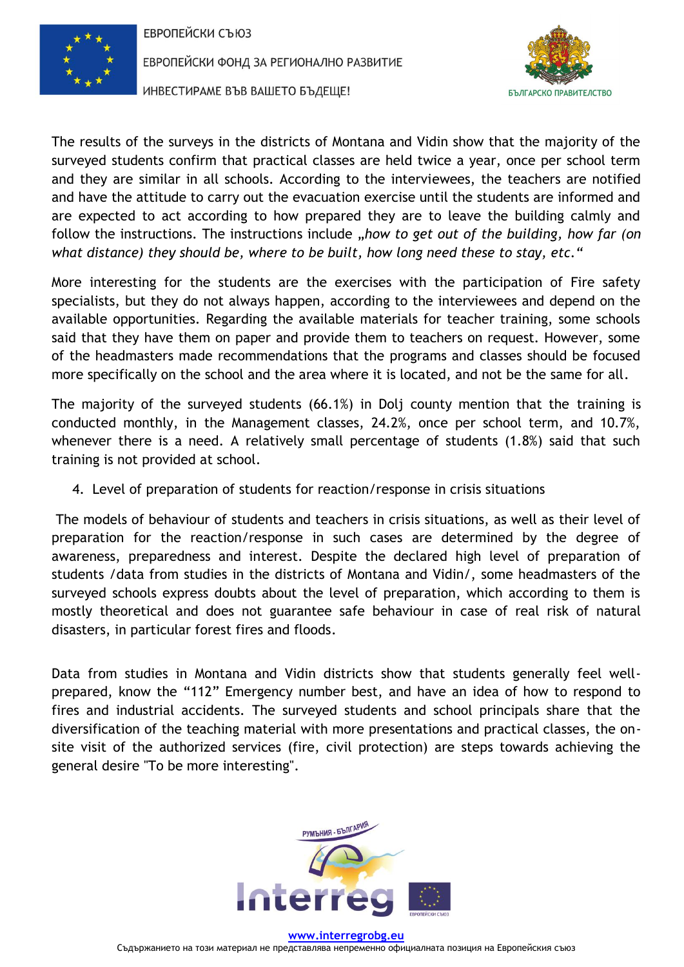

ЕВРОПЕЙСКИ ФОНД ЗА РЕГИОНАЛНО РАЗВИТИЕ





The results of the surveys in the districts of Montana and Vidin show that the majority of the surveyed students confirm that practical classes are held twice a year, once per school term and they are similar in all schools. According to the interviewees, the teachers are notified and have the attitude to carry out the evacuation exercise until the students are informed and are expected to act according to how prepared they are to leave the building calmly and follow the instructions. The instructions include "*how to get out of the building, how far (on what distance) they should be, where to be built, how long need these to stay, etc."*

More interesting for the students are the exercises with the participation of Fire safety specialists, but they do not always happen, according to the interviewees and depend on the available opportunities. Regarding the available materials for teacher training, some schools said that they have them on paper and provide them to teachers on request. However, some of the headmasters made recommendations that the programs and classes should be focused more specifically on the school and the area where it is located, and not be the same for all.

The majority of the surveyed students (66.1%) in Dolj county mention that the training is conducted monthly, in the Management classes, 24.2%, once per school term, and 10.7%, whenever there is a need. A relatively small percentage of students (1.8%) said that such training is not provided at school.

4. Level of preparation of students for reaction/response in crisis situations

The models of behaviour of students and teachers in crisis situations, as well as their level of preparation for the reaction/response in such cases are determined by the degree of awareness, preparedness and interest. Despite the declared high level of preparation of students /data from studies in the districts of Montana and Vidin/, some headmasters of the surveyed schools express doubts about the level of preparation, which according to them is mostly theoretical and does not guarantee safe behaviour in case of real risk of natural disasters, in particular forest fires and floods.

Data from studies in Montana and Vidin districts show that students generally feel wellprepared, know the "112" Emergency number best, and have an idea of how to respond to fires and industrial accidents. The surveyed students and school principals share that the diversification of the teaching material with more presentations and practical classes, the onsite visit of the authorized services (fire, civil protection) are steps towards achieving the general desire "To be more interesting".

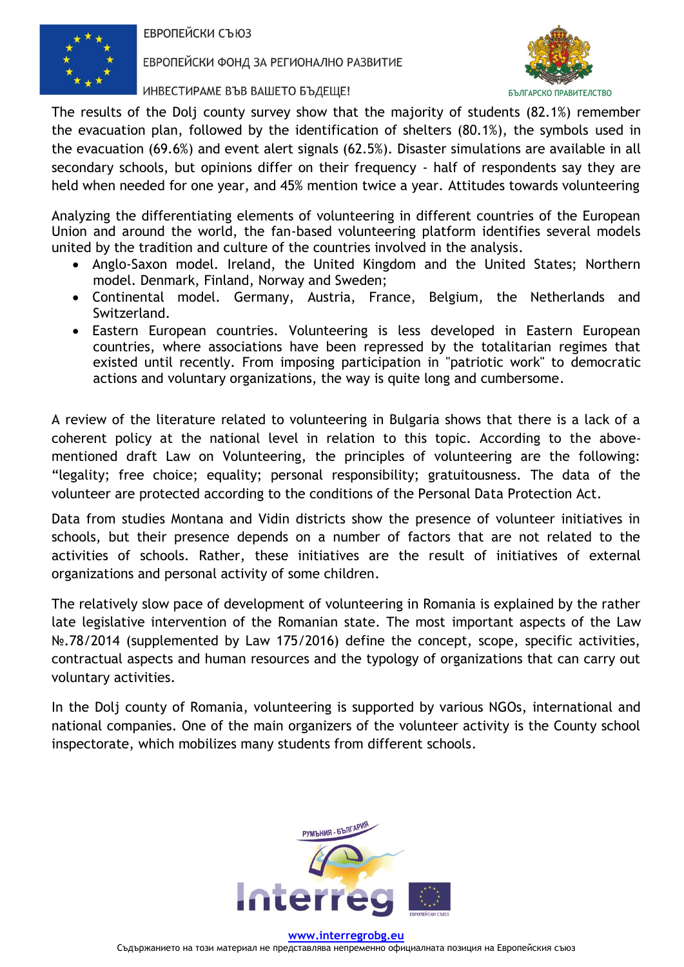

ЕВРОПЕЙСКИ ФОНД ЗА РЕГИОНАЛНО РАЗВИТИЕ

ИНВЕСТИРАМЕ ВЪВ ВАШЕТО БЪДЕЩЕ!



The results of the Dolj county survey show that the majority of students (82.1%) remember the evacuation plan, followed by the identification of shelters (80.1%), the symbols used in the evacuation (69.6%) and event alert signals (62.5%). Disaster simulations are available in all secondary schools, but opinions differ on their frequency - half of respondents say they are held when needed for one year, and 45% mention twice a year. Attitudes towards volunteering

Analyzing the differentiating elements of volunteering in different countries of the European Union and around the world, the fan-based volunteering platform identifies several models united by the tradition and culture of the countries involved in the analysis.

- Anglo-Saxon model. Ireland, the United Kingdom and the United States; Northern model. Denmark, Finland, Norway and Sweden;
- Continental model. Germany, Austria, France, Belgium, the Netherlands and Switzerland.
- Eastern European countries. Volunteering is less developed in Eastern European countries, where associations have been repressed by the totalitarian regimes that existed until recently. From imposing participation in "patriotic work" to democratic actions and voluntary organizations, the way is quite long and cumbersome.

A review of the literature related to volunteering in Bulgaria shows that there is a lack of a coherent policy at the national level in relation to this topic. According to the abovementioned draft Law on Volunteering, the principles of volunteering are the following: "legality; free choice; equality; personal responsibility; gratuitousness. The data of the volunteer are protected according to the conditions of the Personal Data Protection Act.

Data from studies Montana and Vidin districts show the presence of volunteer initiatives in schools, but their presence depends on a number of factors that are not related to the activities of schools. Rather, these initiatives are the result of initiatives of external organizations and personal activity of some children.

The relatively slow pace of development of volunteering in Romania is explained by the rather late legislative intervention of the Romanian state. The most important aspects of the Law No.78/2014 (supplemented by Law 175/2016) define the concept, scope, specific activities, contractual aspects and human resources and the typology of organizations that can carry out voluntary activities.

In the Dolj county of Romania, volunteering is supported by various NGOs, international and national companies. One of the main organizers of the volunteer activity is the County school inspectorate, which mobilizes many students from different schools.



**[www.interregrobg.eu](http://www.interregrobg.eu/)** Съдържанието на този материал не представлява непременно официалната позиция на Европейския съюз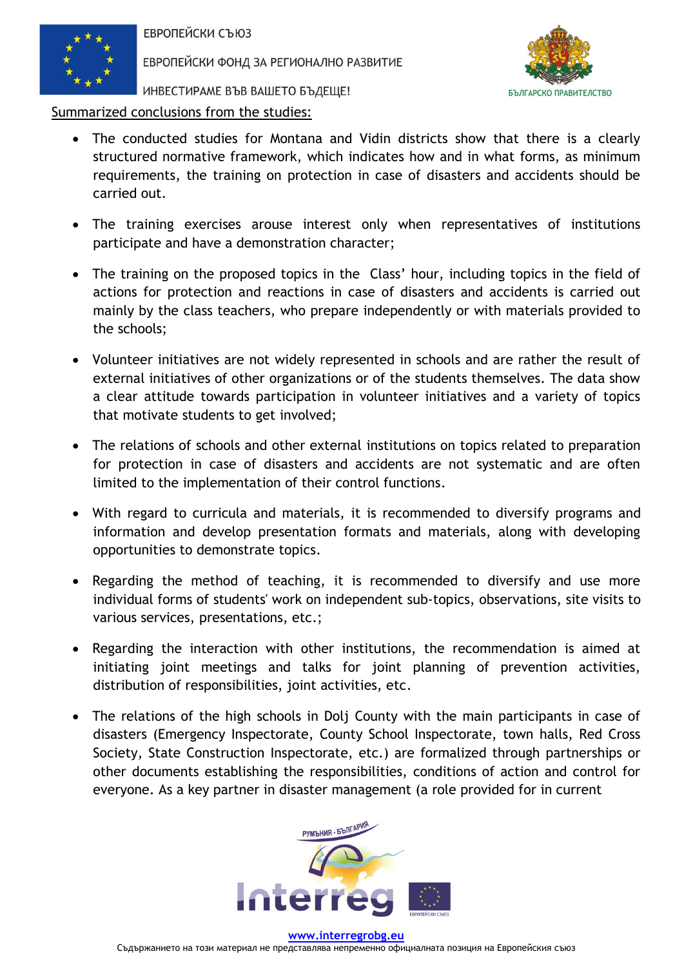

ЕВРОПЕЙСКИ ФОНД ЗА РЕГИОНАЛНО РАЗВИТИЕ



ИНВЕСТИРАМЕ ВЪВ ВАШЕТО БЪДЕЩЕ!

Summarized conclusions from the studies:

- The conducted studies for Montana and Vidin districts show that there is a clearly structured normative framework, which indicates how and in what forms, as minimum requirements, the training on protection in case of disasters and accidents should be carried out.
- The training exercises arouse interest only when representatives of institutions participate and have a demonstration character;
- The training on the proposed topics in the Class' hour, including topics in the field of actions for protection and reactions in case of disasters and accidents is carried out mainly by the class teachers, who prepare independently or with materials provided to the schools;
- Volunteer initiatives are not widely represented in schools and are rather the result of external initiatives of other organizations or of the students themselves. The data show a clear attitude towards participation in volunteer initiatives and a variety of topics that motivate students to get involved;
- The relations of schools and other external institutions on topics related to preparation for protection in case of disasters and accidents are not systematic and are often limited to the implementation of their control functions.
- With regard to curricula and materials, it is recommended to diversify programs and information and develop presentation formats and materials, along with developing opportunities to demonstrate topics.
- Regarding the method of teaching, it is recommended to diversify and use more individual forms of students' work on independent sub-topics, observations, site visits to various services, presentations, etc.;
- Regarding the interaction with other institutions, the recommendation is aimed at initiating joint meetings and talks for joint planning of prevention activities, distribution of responsibilities, joint activities, etc.
- The relations of the high schools in Dolj County with the main participants in case of disasters (Emergency Inspectorate, County School Inspectorate, town halls, Red Cross Society, State Construction Inspectorate, etc.) are formalized through partnerships or other documents establishing the responsibilities, conditions of action and control for everyone. As a key partner in disaster management (a role provided for in current



**[www.interregrobg.eu](http://www.interregrobg.eu/)** Съдържанието на този материал не представлява непременно официалната позиция на Европейския съюз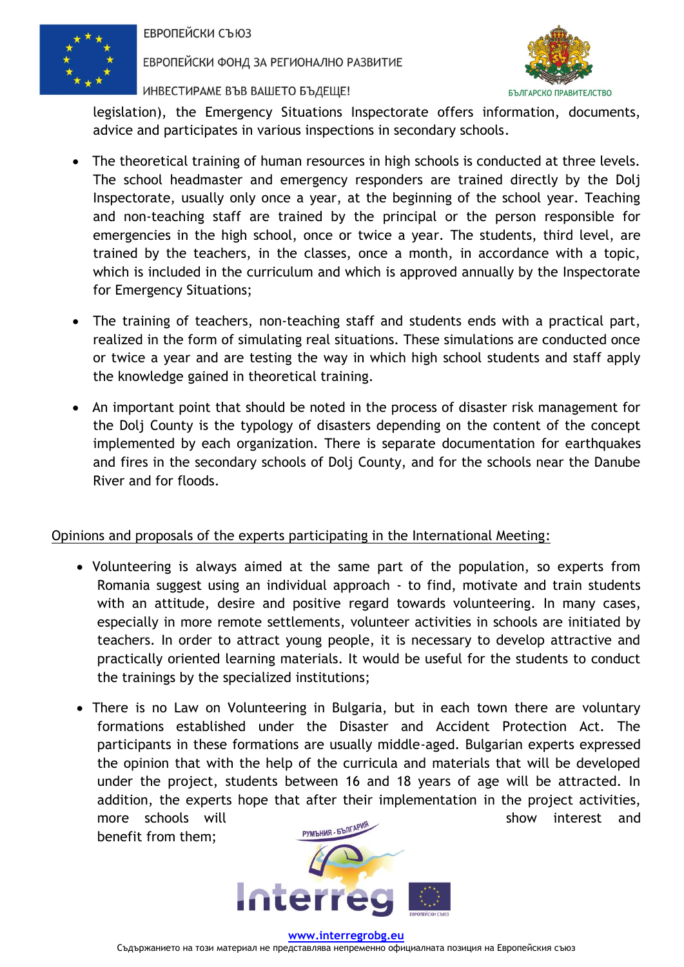

ЕВРОПЕЙСКИ ФОНД ЗА РЕГИОНАЛНО РАЗВИТИЕ

ИНВЕСТИРАМЕ ВЪВ ВАШЕТО БЪДЕЩЕ!



legislation), the Emergency Situations Inspectorate offers information, documents, advice and participates in various inspections in secondary schools.

- The theoretical training of human resources in high schools is conducted at three levels. The school headmaster and emergency responders are trained directly by the Dolj Inspectorate, usually only once a year, at the beginning of the school year. Teaching and non-teaching staff are trained by the principal or the person responsible for emergencies in the high school, once or twice a year. The students, third level, are trained by the teachers, in the classes, once a month, in accordance with a topic, which is included in the curriculum and which is approved annually by the Inspectorate for Emergency Situations;
- The training of teachers, non-teaching staff and students ends with a practical part, realized in the form of simulating real situations. These simulations are conducted once or twice a year and are testing the way in which high school students and staff apply the knowledge gained in theoretical training.
- An important point that should be noted in the process of disaster risk management for the Dolj County is the typology of disasters depending on the content of the concept implemented by each organization. There is separate documentation for earthquakes and fires in the secondary schools of Dolj County, and for the schools near the Danube River and for floods.

## Opinions and proposals of the experts participating in the International Meeting:

- Volunteering is always aimed at the same part of the population, so experts from Romania suggest using an individual approach - to find, motivate and train students with an attitude, desire and positive regard towards volunteering. In many cases, especially in more remote settlements, volunteer activities in schools are initiated by teachers. In order to attract young people, it is necessary to develop attractive and practically oriented learning materials. It would be useful for the students to conduct the trainings by the specialized institutions;
- There is no Law on Volunteering in Bulgaria, but in each town there are voluntary formations established under the Disaster and Accident Protection Act. The participants in these formations are usually middle-aged. Bulgarian experts expressed the opinion that with the help of the curricula and materials that will be developed under the project, students between 16 and 18 years of age will be attracted. In addition, the experts hope that after their implementation in the project activities, more schools will show interest and neglect and show interest and show interest and metaphology interest and  $\frac{PVMBHMB - EBMR^{\rho}NN^{\rho}}{PNMB}$ benefit from them;



**[www.interregrobg.eu](http://www.interregrobg.eu/)**